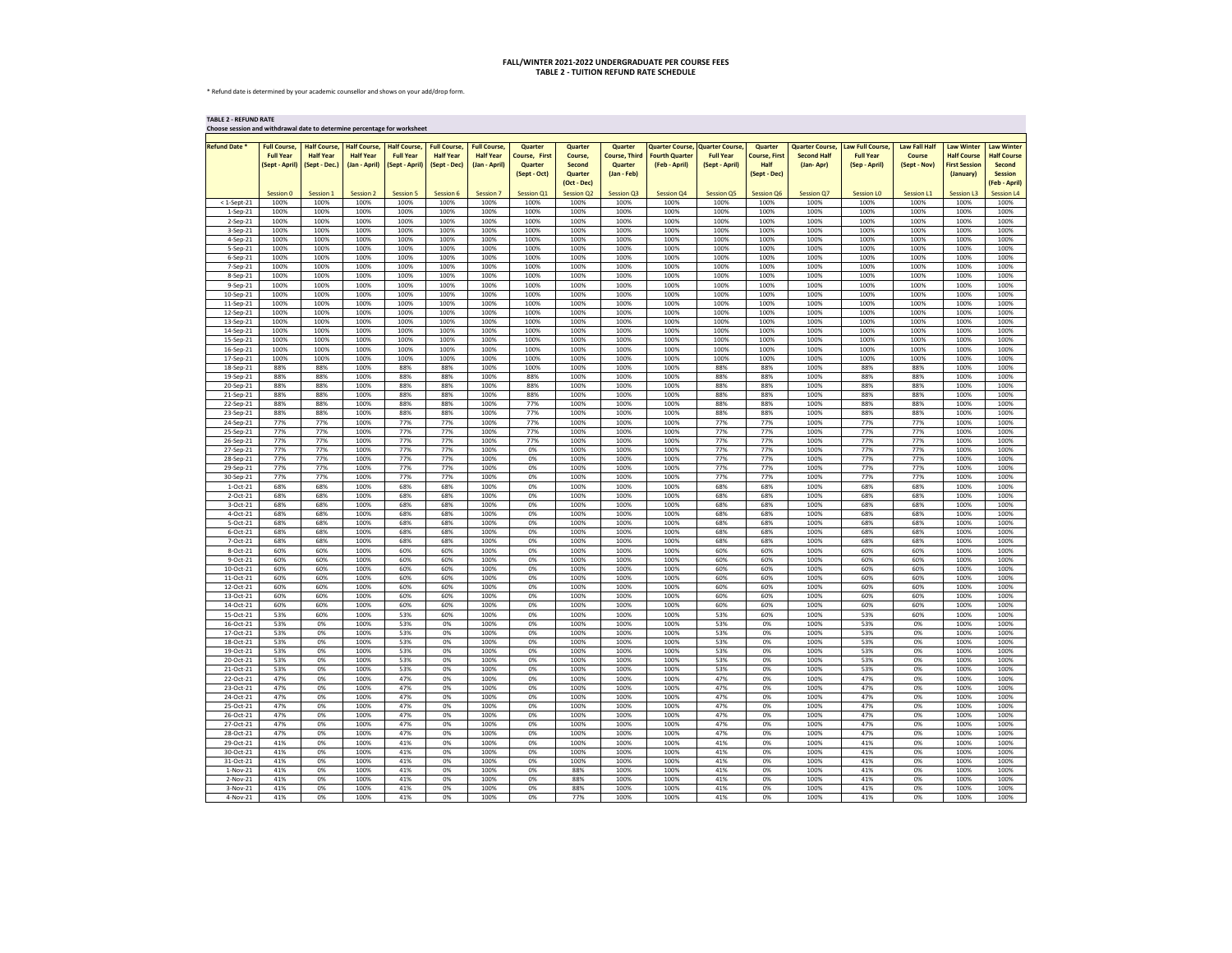\* Refund date is determined by your academic counsellor and shows on your add/drop form.

**TABLE 2 - REFUND RATE**

| Choose session and withdrawal date to determine percentage for worksheet |                                                           |                                                          |                                                          |                                                           |                                                         |                                                          |                                                                   |                                                                      |                                                             |                                                                  |                                                             |                                                                |                                                           |                                                              |                                                       |                                                                              |                                                                                             |
|--------------------------------------------------------------------------|-----------------------------------------------------------|----------------------------------------------------------|----------------------------------------------------------|-----------------------------------------------------------|---------------------------------------------------------|----------------------------------------------------------|-------------------------------------------------------------------|----------------------------------------------------------------------|-------------------------------------------------------------|------------------------------------------------------------------|-------------------------------------------------------------|----------------------------------------------------------------|-----------------------------------------------------------|--------------------------------------------------------------|-------------------------------------------------------|------------------------------------------------------------------------------|---------------------------------------------------------------------------------------------|
| <b>Refund Date *</b>                                                     | <b>Full Course,</b><br><b>Full Year</b><br>(Sept - April) | <b>Half Course,</b><br><b>Half Year</b><br>(Sept - Dec.) | <b>Half Course,</b><br><b>Half Year</b><br>(Jan - April) | <b>Half Course,</b><br><b>Full Year</b><br>(Sept - April) | <b>Full Course,</b><br><b>Half Year</b><br>(Sept - Dec) | <b>Full Course,</b><br><b>Half Year</b><br>(Jan - April) | <b>Quarter</b><br><b>Course, First</b><br>Quarter<br>(Sept - Oct) | <b>Quarter</b><br>Course,<br><b>Second</b><br>Quarter<br>(Oct - Dec) | Quarter<br><b>Course, Third</b><br>Quarter<br>$(Jan - Feb)$ | <b>Quarter Course,</b><br><b>Fourth Quarter</b><br>(Feb - April) | <b>Quarter Course</b><br><b>Full Year</b><br>(Sept - April) | Quarter<br><b>Course, First</b><br><b>Half</b><br>(Sept - Dec) | <b>Quarter Course,</b><br><b>Second Half</b><br>(Jan-Apr) | <b>Law Full Course,</b><br><b>Full Year</b><br>(Sep - April) | <b>Law Fall Half</b><br><b>Course</b><br>(Sept - Nov) | <b>Law Winter</b><br><b>Half Course</b><br><b>First Session</b><br>(January) | <b>Law Winter</b><br><b>Half Course</b><br><b>Second</b><br><b>Session</b><br>(Feb - April) |
| $<$ 1-Sept-21                                                            | Session 0<br>100%                                         | Session 1<br>100%                                        | <b>Session 2</b><br>100%                                 | Session 5<br>100%                                         | Session 6<br>100%                                       | Session 7<br>100%                                        | <b>Session Q1</b><br>100%                                         | <b>Session Q2</b><br>100%                                            | <b>Session Q3</b><br>100%                                   | <b>Session Q4</b><br>100%                                        | <b>Session Q5</b><br>100%                                   | <b>Session Q6</b><br>100%                                      | <b>Session Q7</b><br>100%                                 | <b>Session LO</b><br>100%                                    | <b>Session L1</b><br>100%                             | <b>Session L3</b><br>100%                                                    | <b>Session L4</b><br>100%                                                                   |
| $1-Sep-21$                                                               | 100%                                                      | 100%                                                     | 100%                                                     | 100%                                                      | 100%                                                    | 100%                                                     | 100%                                                              | 100%                                                                 | 100%                                                        | 100%                                                             | 100%                                                        | 100%                                                           | 100%                                                      | 100%                                                         | 100%                                                  | 100%                                                                         | 100%                                                                                        |
| $2-Sep-21$                                                               | 100%                                                      | 100%                                                     | 100%                                                     | 100%                                                      | 100%                                                    | 100%                                                     | 100%                                                              | 100%                                                                 | 100%                                                        | 100%                                                             | 100%                                                        | 100%                                                           | 100%                                                      | 100%                                                         | 100%                                                  | 100%                                                                         | 100%                                                                                        |
| 3-Sep-21                                                                 | 100%                                                      | 100%                                                     | 100%                                                     | 100%                                                      | 100%                                                    | 100%                                                     | 100%                                                              | 100%                                                                 | 100%                                                        | 100%                                                             | 100%                                                        | 100%                                                           | 100%                                                      | 100%                                                         | 100%                                                  | 100%                                                                         | 100%                                                                                        |
| 4-Sep-21<br>5-Sep-21                                                     | 100%<br>100%                                              | 100%<br>100%                                             | 100%<br>100%                                             | 100%<br>100%                                              | 100%<br>100%                                            | 100%<br>100%                                             | 100%<br>100%                                                      | 100%<br>100%                                                         | 100%<br>100%                                                | 100%<br>100%                                                     | 100%<br>100%                                                | 100%<br>100%                                                   | 100%<br>100%                                              | 100%<br>100%                                                 | 100%<br>100%                                          | 100%<br>100%                                                                 | 100%<br>100%                                                                                |
| 6-Sep-21                                                                 | 100%                                                      | 100%                                                     | 100%                                                     | 100%                                                      | 100%                                                    | 100%                                                     | 100%                                                              | 100%                                                                 | 100%                                                        | 100%                                                             | 100%                                                        | 100%                                                           | 100%                                                      | 100%                                                         | 100%                                                  | 100%                                                                         | 100%                                                                                        |
| 7-Sep-21                                                                 | 100%                                                      | 100%                                                     | 100%                                                     | 100%                                                      | 100%                                                    | 100%                                                     | 100%                                                              | 100%                                                                 | 100%                                                        | 100%                                                             | 100%                                                        | 100%                                                           | 100%                                                      | 100%                                                         | 100%                                                  | 100%                                                                         | 100%                                                                                        |
| 8-Sep-21                                                                 | 100%                                                      | 100%                                                     | 100%                                                     | 100%                                                      | 100%                                                    | 100%                                                     | 100%                                                              | 100%                                                                 | 100%                                                        | 100%                                                             | 100%                                                        | 100%                                                           | 100%                                                      | 100%                                                         | 100%                                                  | 100%                                                                         | 100%                                                                                        |
| 9-Sep-21<br>10-Sep-21                                                    | 100%<br>100%                                              | 100%<br>100%                                             | 100%<br>100%                                             | 100%<br>100%                                              | 100%<br>100%                                            | 100%<br>100%                                             | 100%<br>100%                                                      | 100%<br>100%                                                         | 100%<br>100%                                                | 100%<br>100%                                                     | 100%<br>100%                                                | 100%<br>100%                                                   | 100%<br>100%                                              | 100%<br>100%                                                 | 100%<br>100%                                          | 100%<br>100%                                                                 | 100%<br>100%                                                                                |
| 11-Sep-21                                                                | 100%                                                      | 100%                                                     | 100%                                                     | 100%                                                      | 100%                                                    | 100%                                                     | 100%                                                              | 100%                                                                 | 100%                                                        | 100%                                                             | 100%                                                        | 100%                                                           | 100%                                                      | 100%                                                         | 100%                                                  | 100%                                                                         | 100%                                                                                        |
| 12-Sep-21                                                                | 100%                                                      | 100%                                                     | 100%                                                     | 100%                                                      | 100%                                                    | 100%                                                     | 100%                                                              | 100%                                                                 | 100%                                                        | 100%                                                             | 100%                                                        | 100%                                                           | 100%                                                      | 100%                                                         | 100%                                                  | 100%                                                                         | 100%                                                                                        |
| 13-Sep-21                                                                | 100%                                                      | 100%                                                     | 100%                                                     | 100%                                                      | 100%                                                    | 100%                                                     | 100%                                                              | 100%                                                                 | 100%                                                        | 100%                                                             | 100%                                                        | 100%                                                           | 100%                                                      | 100%                                                         | 100%                                                  | 100%                                                                         | 100%                                                                                        |
| 14-Sep-21                                                                | 100%                                                      | 100%                                                     | 100%                                                     | 100%                                                      | 100%                                                    | 100%                                                     | 100%                                                              | 100%                                                                 | 100%                                                        | 100%                                                             | 100%                                                        | 100%                                                           | 100%                                                      | 100%                                                         | 100%                                                  | 100%                                                                         | 100%                                                                                        |
| 15-Sep-21<br>16-Sep-21                                                   | 100%<br>100%                                              | 100%<br>100%                                             | 100%<br>100%                                             | 100%<br>100%                                              | 100%<br>100%                                            | 100%<br>100%                                             | 100%<br>100%                                                      | 100%<br>100%                                                         | 100%<br>100%                                                | 100%<br>100%                                                     | 100%<br>100%                                                | 100%<br>100%                                                   | 100%<br>100%                                              | 100%<br>100%                                                 | 100%<br>100%                                          | 100%<br>100%                                                                 | 100%<br>100%                                                                                |
| 17-Sep-21                                                                | 100%                                                      | 100%                                                     | 100%                                                     | 100%                                                      | 100%                                                    | 100%                                                     | 100%                                                              | 100%                                                                 | 100%                                                        | 100%                                                             | 100%                                                        | 100%                                                           | 100%                                                      | 100%                                                         | 100%                                                  | 100%                                                                         | 100%                                                                                        |
| 18-Sep-21                                                                | 88%                                                       | 88%                                                      | 100%                                                     | 88%                                                       | 88%                                                     | 100%                                                     | 100%                                                              | 100%                                                                 | 100%                                                        | 100%                                                             | 88%                                                         | 88%                                                            | 100%                                                      | 88%                                                          | 88%                                                   | 100%                                                                         | 100%                                                                                        |
| 19-Sep-21                                                                | 88%                                                       | 88%                                                      | 100%                                                     | 88%                                                       | 88%                                                     | 100%                                                     | 88%                                                               | 100%                                                                 | 100%                                                        | 100%                                                             | 88%                                                         | 88%                                                            | 100%                                                      | 88%                                                          | 88%                                                   | 100%                                                                         | 100%                                                                                        |
| 20-Sep-21<br>21-Sep-21                                                   | 88%<br>88%                                                | 88%<br>88%                                               | 100%<br>100%                                             | 88%<br>88%                                                | 88%<br>88%                                              | 100%<br>100%                                             | 88%<br>88%                                                        | 100%<br>100%                                                         | 100%<br>100%                                                | 100%<br>100%                                                     | 88%<br>88%                                                  | 88%<br>88%                                                     | 100%<br>100%                                              | 88%<br>88%                                                   | 88%<br>88%                                            | 100%<br>100%                                                                 | 100%<br>100%                                                                                |
| 22-Sep-21                                                                | 88%                                                       | 88%                                                      | 100%                                                     | 88%                                                       | 88%                                                     | 100%                                                     | 77%                                                               | 100%                                                                 | 100%                                                        | 100%                                                             | 88%                                                         | 88%                                                            | 100%                                                      | 88%                                                          | 88%                                                   | 100%                                                                         | 100%                                                                                        |
| 23-Sep-21                                                                | 88%                                                       | 88%                                                      | 100%                                                     | 88%                                                       | 88%                                                     | 100%                                                     | 77%                                                               | 100%                                                                 | 100%                                                        | 100%                                                             | 88%                                                         | 88%                                                            | 100%                                                      | 88%                                                          | 88%                                                   | 100%                                                                         | 100%                                                                                        |
| 24-Sep-21                                                                | 77%                                                       | 77%                                                      | 100%                                                     | 77%                                                       | 77%                                                     | 100%                                                     | 77%                                                               | 100%                                                                 | 100%                                                        | 100%                                                             | 77%                                                         | 77%                                                            | 100%                                                      | 77%                                                          | 77%                                                   | 100%                                                                         | 100%                                                                                        |
| 25-Sep-21<br>26-Sep-21                                                   | 77%<br>77%                                                | 77%<br>77%                                               | 100%<br>100%                                             | 77%<br>77%                                                | 77%<br>77%                                              | 100%<br>100%                                             | 77%<br>77%                                                        | 100%<br>100%                                                         | 100%<br>100%                                                | 100%<br>100%                                                     | 77%<br>77%                                                  | 77%<br>77%                                                     | 100%<br>100%                                              | 77%<br>77%                                                   | 77%<br>77%                                            | 100%<br>100%                                                                 | 100%<br>100%                                                                                |
| 27-Sep-21                                                                | 77%                                                       | 77%                                                      | 100%                                                     | 77%                                                       | 77%                                                     | 100%                                                     | 0%                                                                | 100%                                                                 | 100%                                                        | 100%                                                             | 77%                                                         | 77%                                                            | 100%                                                      | 77%                                                          | 77%                                                   | 100%                                                                         | 100%                                                                                        |
| 28-Sep-21                                                                | 77%                                                       | 77%                                                      | 100%                                                     | 77%                                                       | 77%                                                     | 100%                                                     | 0%                                                                | 100%                                                                 | 100%                                                        | 100%                                                             | 77%                                                         | 77%                                                            | 100%                                                      | 77%                                                          | 77%                                                   | 100%                                                                         | 100%                                                                                        |
| 29-Sep-21                                                                | 77%                                                       | 77%                                                      | 100%                                                     | 77%                                                       | 77%                                                     | 100%                                                     | 0%                                                                | 100%                                                                 | 100%                                                        | 100%                                                             | 77%                                                         | 77%                                                            | 100%                                                      | 77%                                                          | 77%                                                   | 100%                                                                         | 100%                                                                                        |
| 30-Sep-21<br>$1-Oct-21$                                                  | 77%<br>68%                                                | 77%<br>68%                                               | 100%<br>100%                                             | 77%<br>68%                                                | 77%<br>68%                                              | 100%<br>100%                                             | 0%<br>0%                                                          | 100%<br>100%                                                         | 100%<br>100%                                                | 100%<br>100%                                                     | 77%<br>68%                                                  | 77%<br>68%                                                     | 100%<br>100%                                              | 77%<br>68%                                                   | 77%<br>68%                                            | 100%<br>100%                                                                 | 100%<br>100%                                                                                |
| 2-Oct-21                                                                 | 68%                                                       | 68%                                                      | 100%                                                     | 68%                                                       | 68%                                                     | 100%                                                     | 0%                                                                | 100%                                                                 | 100%                                                        | 100%                                                             | 68%                                                         | 68%                                                            | 100%                                                      | 68%                                                          | 68%                                                   | 100%                                                                         | 100%                                                                                        |
| 3-Oct-21                                                                 | 68%                                                       | 68%                                                      | 100%                                                     | 68%                                                       | 68%                                                     | 100%                                                     | 0%                                                                | 100%                                                                 | 100%                                                        | 100%                                                             | 68%                                                         | 68%                                                            | 100%                                                      | 68%                                                          | 68%                                                   | 100%                                                                         | 100%                                                                                        |
| 4-Oct-21                                                                 | 68%                                                       | 68%                                                      | 100%                                                     | 68%                                                       | 68%                                                     | 100%                                                     | 0%                                                                | 100%                                                                 | 100%                                                        | 100%                                                             | 68%                                                         | 68%                                                            | 100%                                                      | 68%                                                          | 68%                                                   | 100%                                                                         | 100%                                                                                        |
| 5-Oct-21<br>6-Oct-21                                                     | 68%<br>68%                                                | 68%<br>68%                                               | 100%<br>100%                                             | 68%<br>68%                                                | 68%<br>68%                                              | 100%<br>100%                                             | 0%<br>0%                                                          | 100%<br>100%                                                         | 100%<br>100%                                                | 100%<br>100%                                                     | 68%<br>68%                                                  | 68%<br>68%                                                     | 100%<br>100%                                              | 68%<br>68%                                                   | 68%<br>68%                                            | 100%<br>100%                                                                 | 100%<br>100%                                                                                |
| 7-Oct-21                                                                 | 68%                                                       | 68%                                                      | 100%                                                     | 68%                                                       | 68%                                                     | 100%                                                     | 0%                                                                | 100%                                                                 | 100%                                                        | 100%                                                             | 68%                                                         | 68%                                                            | 100%                                                      | 68%                                                          | 68%                                                   | 100%                                                                         | 100%                                                                                        |
| 8-Oct-21                                                                 | 60%                                                       | 60%                                                      | 100%                                                     | 60%                                                       | 60%                                                     | 100%                                                     | 0%                                                                | 100%                                                                 | 100%                                                        | 100%                                                             | 60%                                                         | 60%                                                            | 100%                                                      | 60%                                                          | 60%                                                   | 100%                                                                         | 100%                                                                                        |
| 9-Oct-21                                                                 | 60%                                                       | 60%                                                      | 100%                                                     | 60%                                                       | 60%                                                     | 100%                                                     | 0%                                                                | 100%                                                                 | 100%                                                        | 100%                                                             | 60%                                                         | 60%                                                            | 100%                                                      | 60%                                                          | 60%                                                   | 100%                                                                         | 100%                                                                                        |
| 10-Oct-21<br>11-Oct-21                                                   | 60%<br>60%                                                | 60%<br>60%                                               | 100%<br>100%                                             | 60%<br>60%                                                | 60%<br>60%                                              | 100%<br>100%                                             | 0%<br>0%                                                          | 100%<br>100%                                                         | 100%<br>100%                                                | 100%<br>100%                                                     | 60%<br>60%                                                  | 60%<br>60%                                                     | 100%<br>100%                                              | 60%<br>60%                                                   | 60%<br>60%                                            | 100%<br>100%                                                                 | 100%<br>100%                                                                                |
| 12-Oct-21                                                                | 60%                                                       | 60%                                                      | 100%                                                     | 60%                                                       | 60%                                                     | 100%                                                     | 0%                                                                | 100%                                                                 | 100%                                                        | 100%                                                             | 60%                                                         | 60%                                                            | 100%                                                      | 60%                                                          | 60%                                                   | 100%                                                                         | 100%                                                                                        |
| 13-Oct-21                                                                | 60%                                                       | 60%                                                      | 100%                                                     | 60%                                                       | 60%                                                     | 100%                                                     | 0%                                                                | 100%                                                                 | 100%                                                        | 100%                                                             | 60%                                                         | 60%                                                            | 100%                                                      | 60%                                                          | 60%                                                   | 100%                                                                         | 100%                                                                                        |
| 14-Oct-21                                                                | 60%                                                       | 60%                                                      | 100%                                                     | 60%                                                       | 60%                                                     | 100%                                                     | 0%                                                                | 100%                                                                 | 100%                                                        | 100%                                                             | 60%                                                         | 60%                                                            | 100%                                                      | 60%                                                          | 60%                                                   | 100%                                                                         | 100%                                                                                        |
| 15-Oct-21<br>16-Oct-21                                                   | 53%<br>53%                                                | 60%<br>0%                                                | 100%<br>100%                                             | 53%<br>53%                                                | 60%<br>0%                                               | 100%<br>100%                                             | 0%<br>0%                                                          | 100%<br>100%                                                         | 100%<br>100%                                                | 100%<br>100%                                                     | 53%<br>53%                                                  | 60%<br>0%                                                      | 100%<br>100%                                              | 53%<br>53%                                                   | 60%<br>0%                                             | 100%<br>100%                                                                 | 100%<br>100%                                                                                |
| 17-Oct-21                                                                | 53%                                                       | 0%                                                       | 100%                                                     | 53%                                                       | 0%                                                      | 100%                                                     | 0%                                                                | 100%                                                                 | 100%                                                        | 100%                                                             | 53%                                                         | 0%                                                             | 100%                                                      | 53%                                                          | 0%                                                    | 100%                                                                         | 100%                                                                                        |
| 18-Oct-21                                                                | 53%                                                       | 0%                                                       | 100%                                                     | 53%                                                       | 0%                                                      | 100%                                                     | 0%                                                                | 100%                                                                 | 100%                                                        | 100%                                                             | 53%                                                         | 0%                                                             | 100%                                                      | 53%                                                          | 0%                                                    | 100%                                                                         | 100%                                                                                        |
| 19-Oct-21                                                                | 53%                                                       | 0%                                                       | 100%                                                     | 53%                                                       | 0%                                                      | 100%                                                     | 0%                                                                | 100%                                                                 | 100%                                                        | 100%                                                             | 53%                                                         | 0%                                                             | 100%                                                      | 53%                                                          | 0%                                                    | 100%                                                                         | 100%                                                                                        |
| 20-Oct-21<br>21-Oct-21                                                   | 53%<br>53%                                                | 0%<br>0%                                                 | 100%<br>100%                                             | 53%<br>53%                                                | 0%<br>0%                                                | 100%<br>100%                                             | 0%<br>0%                                                          | 100%<br>100%                                                         | 100%<br>100%                                                | 100%<br>100%                                                     | 53%<br>53%                                                  | 0%<br>0%                                                       | 100%<br>100%                                              | 53%<br>53%                                                   | 0%<br>0%                                              | 100%<br>100%                                                                 | 100%<br>100%                                                                                |
| 22-Oct-21                                                                | 47%                                                       | 0%                                                       | 100%                                                     | 47%                                                       | 0%                                                      | 100%                                                     | 0%                                                                | 100%                                                                 | 100%                                                        | 100%                                                             | 47%                                                         | 0%                                                             | 100%                                                      | 47%                                                          | 0%                                                    | 100%                                                                         | 100%                                                                                        |
| 23-Oct-21                                                                | 47%                                                       | 0%                                                       | 100%                                                     | 47%                                                       | 0%                                                      | 100%                                                     | 0%                                                                | 100%                                                                 | 100%                                                        | 100%                                                             | 47%                                                         | 0%                                                             | 100%                                                      | 47%                                                          | 0%                                                    | 100%                                                                         | 100%                                                                                        |
| 24-Oct-21                                                                | 47%                                                       | 0%                                                       | 100%                                                     | 47%                                                       | 0%                                                      | 100%                                                     | 0%                                                                | 100%                                                                 | 100%                                                        | 100%                                                             | 47%                                                         | 0%                                                             | 100%                                                      | 47%                                                          | 0%                                                    | 100%                                                                         | 100%                                                                                        |
| 25-Oct-21<br>26-Oct-21                                                   | 47%<br>47%                                                | 0%<br>0%                                                 | 100%<br>100%                                             | 47%<br>47%                                                | 0%<br>0%                                                | 100%<br>100%                                             | 0%<br>0%                                                          | 100%<br>100%                                                         | 100%<br>100%                                                | 100%<br>100%                                                     | 47%<br>47%                                                  | 0%<br>0%                                                       | 100%<br>100%                                              | 47%<br>47%                                                   | 0%<br>0%                                              | 100%<br>100%                                                                 | 100%<br>100%                                                                                |
| 27-Oct-21                                                                | 47%                                                       | 0%                                                       | 100%                                                     | 47%                                                       | 0%                                                      | 100%                                                     | 0%                                                                | 100%                                                                 | 100%                                                        | 100%                                                             | 47%                                                         | 0%                                                             | 100%                                                      | 47%                                                          | 0%                                                    | 100%                                                                         | 100%                                                                                        |
| 28-Oct-21                                                                | 47%                                                       | 0%                                                       | 100%                                                     | 47%                                                       | 0%                                                      | 100%                                                     | 0%                                                                | 100%                                                                 | 100%                                                        | 100%                                                             | 47%                                                         | 0%                                                             | 100%                                                      | 47%                                                          | 0%                                                    | 100%                                                                         | 100%                                                                                        |
| 29-Oct-21                                                                | 41%                                                       | 0%                                                       | 100%                                                     | 41%                                                       | 0%                                                      | 100%                                                     | 0%                                                                | 100%                                                                 | 100%                                                        | 100%                                                             | 41%                                                         | 0%                                                             | 100%                                                      | 41%                                                          | 0%                                                    | 100%                                                                         | 100%                                                                                        |
| 30-Oct-21                                                                | 41%                                                       | 0%                                                       | 100%                                                     | 41%                                                       | 0%                                                      | 100%                                                     | 0%                                                                | 100%                                                                 | 100%                                                        | 100%                                                             | 41%                                                         | 0%                                                             | 100%                                                      | 41%<br>41%                                                   | 0%                                                    | 100%                                                                         | 100%                                                                                        |
| 31-Oct-21<br>$1-Nov-21$                                                  | 41%<br>41%                                                | 0%<br>0%                                                 | 100%<br>100%                                             | 41%<br>41%                                                | 0%<br>0%                                                | 100%<br>100%                                             | 0%<br>0%                                                          | 100%<br>88%                                                          | 100%<br>100%                                                | 100%<br>100%                                                     | 41%<br>41%                                                  | 0%<br>0%                                                       | 100%<br>100%                                              | 41%                                                          | 0%<br>0%                                              | 100%<br>100%                                                                 | 100%<br>100%                                                                                |
| 2-Nov-21                                                                 | 41%                                                       | 0%                                                       | 100%                                                     | 41%                                                       | 0%                                                      | 100%                                                     | 0%                                                                | 88%                                                                  | 100%                                                        | 100%                                                             | 41%                                                         | 0%                                                             | 100%                                                      | 41%                                                          | 0%                                                    | 100%                                                                         | 100%                                                                                        |
| $3-Nov-21$                                                               | 41%                                                       | 0%                                                       | 100%                                                     | 41%                                                       | 0%                                                      | 100%                                                     | 0%                                                                | 88%                                                                  | 100%                                                        | 100%                                                             | 41%                                                         | 0%                                                             | 100%                                                      | 41%                                                          | 0%                                                    | 100%                                                                         | 100%                                                                                        |
| $4-Nov-21$                                                               | 41%                                                       | 0%                                                       | 100%                                                     | 41%                                                       | 0%                                                      | 100%                                                     | 0%                                                                | 77%                                                                  | 100%                                                        | 100%                                                             | 41%                                                         | 0%                                                             | 100%                                                      | 41%                                                          | 0%                                                    | 100%                                                                         | 100%                                                                                        |

## **FALL/WINTER 2021-2022 UNDERGRADUATE PER COURSE FEES TABLE 2 - TUITION REFUND RATE SCHEDULE**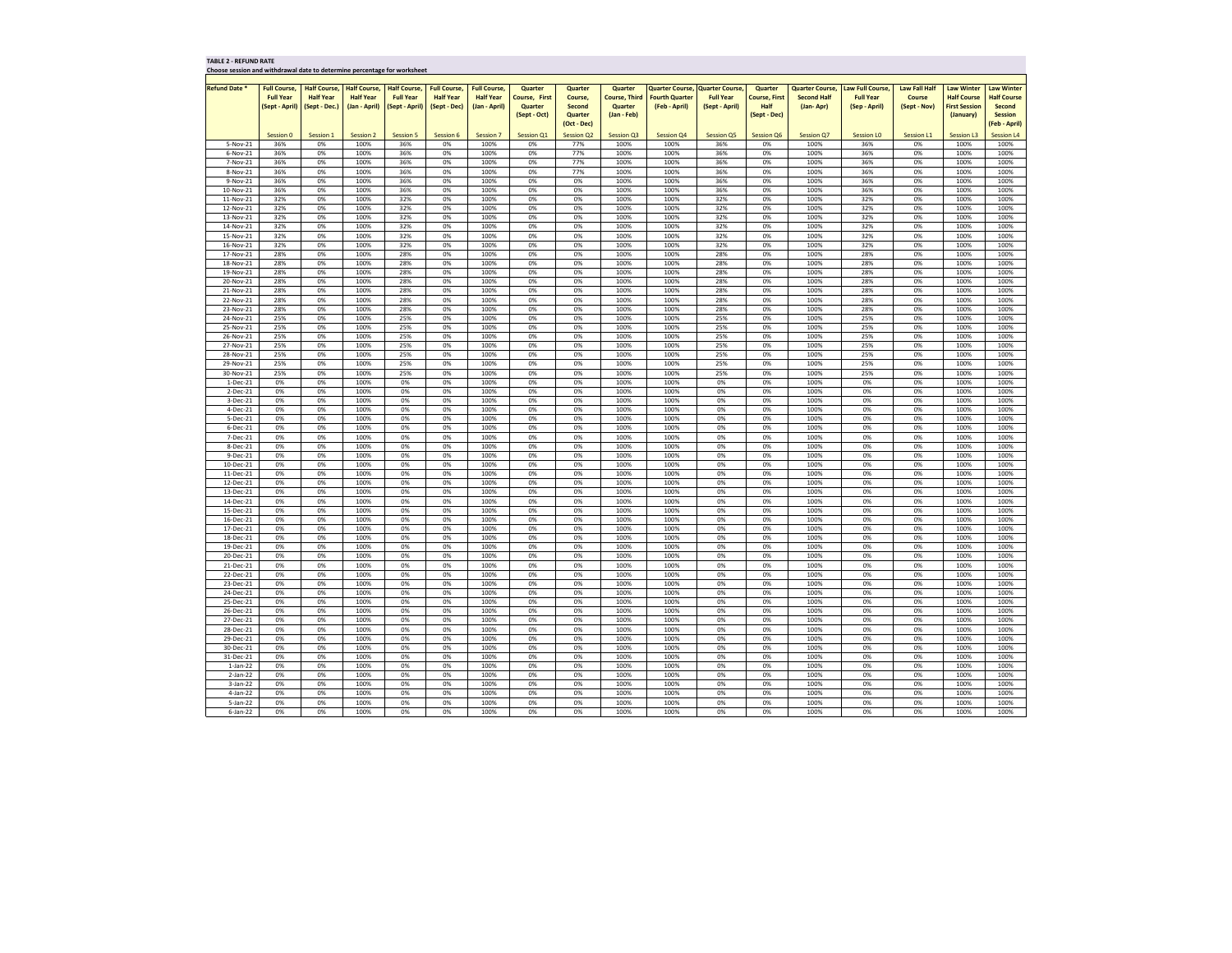**Choose session and withdrawal date to determine percentage for worksheet**

| Choose session and withdrawal date to determine percentage for worksheet |                    |                     |                     |                     |                     |                     |                      |                   |                      |                       |                                        |                      |                       |                         |                      |                      |                    |
|--------------------------------------------------------------------------|--------------------|---------------------|---------------------|---------------------|---------------------|---------------------|----------------------|-------------------|----------------------|-----------------------|----------------------------------------|----------------------|-----------------------|-------------------------|----------------------|----------------------|--------------------|
|                                                                          |                    |                     |                     |                     |                     |                     |                      |                   |                      |                       |                                        |                      |                       |                         |                      |                      |                    |
| <b>Refund Date *</b>                                                     | <b>Full Course</b> | <b>Half Course,</b> | <b>Half Course,</b> | <b>Half Course,</b> | <b>Full Course,</b> | <b>Full Course,</b> | <b>Quarter</b>       | <b>Quarter</b>    | <b>Quarter</b>       |                       | <b>Quarter Course, Quarter Course,</b> | Quarter              | <b>Quarter Course</b> | <b>Law Full Course,</b> | <b>Law Fall Half</b> | <b>Law Winter</b>    | Law Winter         |
|                                                                          | <b>Full Year</b>   | <b>Half Year</b>    | <b>Half Year</b>    | <b>Full Year</b>    | <b>Half Year</b>    | <b>Half Year</b>    | <b>Course, First</b> | Course,           | <b>Course, Third</b> | <b>Fourth Quarter</b> | <b>Full Year</b>                       | <b>Course, First</b> | <b>Second Half</b>    | <b>Full Year</b>        | <b>Course</b>        | <b>Half Course</b>   | <b>Half Course</b> |
|                                                                          | (Sept - April)     | (Sept - Dec.)       | (Jan - April)       | (Sept - April)      | (Sept - Dec)        | (Jan - April)       | <b>Quarter</b>       | <b>Second</b>     | <b>Quarter</b>       | (Feb - April)         | (Sept - April)                         | <b>Half</b>          | (Jan-Apr)             | (Sep - April)           | (Sept - Nov)         | <b>First Session</b> | <b>Second</b>      |
|                                                                          |                    |                     |                     |                     |                     |                     | (Sept - Oct)         | Quarter           | (Jan - Feb)          |                       |                                        | (Sept - Dec)         |                       |                         |                      | (January)            | <b>Session</b>     |
|                                                                          |                    |                     |                     |                     |                     |                     |                      | (Oct - Dec)       |                      |                       |                                        |                      |                       |                         |                      |                      | (Feb - April)      |
|                                                                          | Session 0          | Session 1           | Session 2           | Session 5           | Session 6           | <b>Session 7</b>    | <b>Session Q1</b>    | <b>Session Q2</b> | <b>Session Q3</b>    | <b>Session Q4</b>     | <b>Session Q5</b>                      | Session Q6           | <b>Session Q7</b>     | <b>Session LO</b>       | Session L            | <b>Session L3</b>    | <b>Session L4</b>  |
| 5-Nov-21                                                                 | 36%                | 0%                  | 100%                | 36%                 | 0%                  | 100%                | 0%                   | 77%               | 100%                 | 100%                  | 36%                                    | 0%                   | 100%                  | 36%                     | 0%                   | 100%                 | 100%               |
|                                                                          |                    |                     |                     |                     |                     |                     |                      | 77%               |                      |                       |                                        |                      |                       |                         |                      |                      |                    |
| 6-Nov-21                                                                 | 36%                | 0%                  | 100%                | 36%                 | 0%                  | 100%                | 0%                   |                   | 100%                 | 100%                  | 36%                                    | 0%                   | 100%                  | 36%                     | 0%                   | 100%                 | 100%               |
| 7-Nov-21                                                                 | 36%                | 0%                  | 100%                | 36%                 | 0%                  | 100%                | 0%                   | 77%               | 100%                 | 100%                  | 36%                                    | 0%                   | 100%                  | 36%                     | 0%                   | 100%                 | 100%               |
| 8-Nov-21                                                                 | 36%                | 0%                  | 100%                | 36%                 | 0%                  | 100%                | 0%                   | 77%               | 100%                 | 100%                  | 36%                                    | 0%                   | 100%                  | 36%                     | 0%                   | 100%                 | 100%               |
| 9-Nov-21                                                                 | 36%                | 0%                  | 100%                | 36%                 | 0%                  | 100%                | 0%                   | 0%                | 100%                 | 100%                  | 36%                                    | 0%                   | 100%                  | 36%                     | 0%                   | 100%                 | 100%               |
| 10-Nov-21                                                                | 36%                | 0%                  | 100%                | 36%                 | 0%                  | 100%                | 0%                   | 0%                | 100%                 | 100%                  | 36%                                    | 0%                   | 100%                  | 36%                     | 0%                   | 100%                 | 100%               |
| 11-Nov-21                                                                | 32%                | 0%                  | 100%                | 32%                 | 0%                  | 100%                | 0%                   | 0%                | 100%                 | 100%                  | 32%                                    | 0%                   | 100%                  | 32%                     | 0%                   | 100%                 | 100%               |
| 12-Nov-21                                                                | 32%                | 0%                  | 100%                | 32%                 | 0%                  | 100%                | 0%                   | 0%                | 100%                 | 100%                  | 32%                                    | 0%                   | 100%                  | 32%                     | 0%                   | 100%                 | 100%               |
| 13-Nov-21                                                                | 32%                | $0\%$               | 100%                | 32%                 | 0%                  | 100%                | 0%                   | 0%                | 100%                 | 100%                  | 32%                                    | 0%                   | 100%                  | 32%                     | 0%                   | 100%                 | 100%               |
| 14-Nov-21                                                                | 32%                | $0\%$               | 100%                | 32%                 | 0%                  | 100%                | 0%                   | 0%                | 100%                 | 100%                  | 32%                                    | 0%                   | 100%                  | 32%                     | 0%                   | 100%                 | 100%               |
| 15-Nov-21                                                                | 32%                | 0%                  | 100%                | 32%                 | 0%                  | 100%                | 0%                   | 0%                | 100%                 | 100%                  | 32%                                    | 0%                   | 100%                  | 32%                     | 0%                   | 100%                 | 100%               |
| 16-Nov-21                                                                | 32%                | 0%                  | 100%                | 32%                 | 0%                  | 100%                | 0%                   | 0%                | 100%                 | 100%                  | 32%                                    | 0%                   | 100%                  | 32%                     | 0%                   | 100%                 | 100%               |
| 17-Nov-21                                                                | 28%                | 0%                  | 100%                | 28%                 | 0%                  | 100%                | 0%                   | 0%                | 100%                 | 100%                  | 28%                                    | 0%                   | 100%                  | 28%                     | 0%                   | 100%                 | 100%               |
| 18-Nov-21                                                                | 28%                | 0%                  | 100%                | 28%                 | 0%                  | 100%                | 0%                   | 0%                | 100%                 | 100%                  | 28%                                    | 0%                   | 100%                  | 28%                     | 0%                   | 100%                 | 100%               |
| 19-Nov-21                                                                | 28%                | 0%                  | 100%                | 28%                 | 0%                  | 100%                | 0%                   | 0%                | 100%                 | 100%                  | 28%                                    | 0%                   | 100%                  | 28%                     | 0%                   | 100%                 | 100%               |
|                                                                          |                    |                     |                     |                     |                     |                     |                      |                   |                      |                       |                                        |                      |                       |                         |                      |                      |                    |
| 20-Nov-21                                                                | 28%                | 0%                  | 100%                | 28%                 | 0%                  | 100%                | 0%                   | 0%                | 100%                 | 100%                  | 28%                                    | 0%                   | 100%                  | 28%                     | 0%                   | 100%                 | 100%               |
| 21-Nov-21                                                                | 28%                | 0%                  | 100%                | 28%                 | 0%                  | 100%                | 0%                   | 0%                | 100%                 | 100%                  | 28%                                    | 0%                   | 100%                  | 28%                     | 0%                   | 100%                 | 100%               |
| 22-Nov-21                                                                | 28%                | 0%                  | 100%                | 28%                 | 0%                  | 100%                | 0%                   | 0%                | 100%                 | 100%                  | 28%                                    | 0%                   | 100%                  | 28%                     | 0%                   | 100%                 | 100%               |
| 23-Nov-21                                                                | 28%                | 0%                  | 100%                | 28%                 | 0%                  | 100%                | 0%                   | 0%                | 100%                 | 100%                  | 28%                                    | 0%                   | 100%                  | 28%                     | 0%                   | 100%                 | 100%               |
| 24-Nov-21                                                                | 25%                | 0%                  | 100%                | 25%                 | 0%                  | 100%                | 0%                   | 0%                | 100%                 | 100%                  | 25%                                    | 0%                   | 100%                  | 25%                     | 0%                   | 100%                 | 100%               |
| 25-Nov-21                                                                | 25%                | 0%                  | 100%                | 25%                 | 0%                  | 100%                | 0%                   | 0%                | 100%                 | 100%                  | 25%                                    | 0%                   | 100%                  | 25%                     | 0%                   | 100%                 | 100%               |
| 26-Nov-21                                                                | 25%                | 0%                  | 100%                | 25%                 | 0%                  | 100%                | 0%                   | 0%                | 100%                 | 100%                  | 25%                                    | 0%                   | 100%                  | 25%                     | 0%                   | 100%                 | 100%               |
| 27-Nov-21                                                                | 25%                | 0%                  | 100%                | 25%                 | 0%                  | 100%                | 0%                   | 0%                | 100%                 | 100%                  | 25%                                    | 0%                   | 100%                  | 25%                     | 0%                   | 100%                 | 100%               |
| 28-Nov-21                                                                | 25%                | 0%                  | 100%                | 25%                 | 0%                  | 100%                | 0%                   | 0%                | 100%                 | 100%                  | 25%                                    | 0%                   | 100%                  | 25%                     | 0%                   | 100%                 | 100%               |
| 29-Nov-21                                                                | 25%                | 0%                  | 100%                | 25%                 | 0%                  | 100%                | 0%                   | 0%                | 100%                 | 100%                  | 25%                                    | 0%                   | 100%                  | 25%                     | 0%                   | 100%                 | 100%               |
| 30-Nov-21                                                                | 25%                | 0%                  | 100%                | 25%                 | 0%                  | 100%                | 0%                   | 0%                | 100%                 | 100%                  | 25%                                    | 0%                   | 100%                  | 25%                     | 0%                   | 100%                 | 100%               |
| 1-Dec-21                                                                 | 0%                 | 0%                  | 100%                | 0%                  | 0%                  | 100%                | 0%                   | 0%                | 100%                 | 100%                  | 0%                                     | 0%                   | 100%                  | 0%                      | 0%                   | 100%                 | 100%               |
| 2-Dec-21                                                                 | 0%                 | 0%                  | 100%                | 0%                  | 0%                  | 100%                | 0%                   | 0%                | 100%                 | 100%                  | 0%                                     | 0%                   | 100%                  | 0%                      | 0%                   | 100%                 | 100%               |
| 3-Dec-21                                                                 | 0%                 | 0%                  | 100%                | 0%                  | 0%                  | 100%                | 0%                   | 0%                | 100%                 | 100%                  | 0%                                     | 0%                   | 100%                  | 0%                      | 0%                   | 100%                 | 100%               |
|                                                                          |                    |                     |                     |                     |                     |                     |                      |                   |                      |                       |                                        |                      |                       |                         |                      |                      |                    |
| 4-Dec-21                                                                 | 0%                 | 0%                  | 100%                | 0%                  | 0%                  | 100%                | 0%                   | 0%                | 100%                 | 100%                  | 0%                                     | 0%                   | 100%                  | 0%                      | 0%                   | 100%                 | 100%               |
| 5-Dec-21                                                                 | 0%                 | 0%                  | 100%                | 0%                  | 0%                  | 100%                | 0%                   | 0%                | 100%                 | 100%                  | 0%                                     | 0%                   | 100%                  | 0%                      | 0%                   | 100%                 | 100%               |
| 6-Dec-21                                                                 | 0%                 | 0%                  | 100%                | 0%                  | 0%                  | 100%                | 0%                   | 0%                | 100%                 | 100%                  | 0%                                     | 0%                   | 100%                  | 0%                      | 0%                   | 100%                 | 100%               |
| 7-Dec-21                                                                 | 0%                 | 0%                  | 100%                | 0%                  | 0%                  | 100%                | 0%                   | 0%                | 100%                 | 100%                  | 0%                                     | 0%                   | 100%                  | 0%                      | 0%                   | 100%                 | 100%               |
| 8-Dec-21                                                                 | 0%                 | 0%                  | 100%                | 0%                  | 0%                  | 100%                | 0%                   | 0%                | 100%                 | 100%                  | 0%                                     | 0%                   | 100%                  | 0%                      | 0%                   | 100%                 | 100%               |
| 9-Dec-21                                                                 | 0%                 | 0%                  | 100%                | 0%                  | 0%                  | 100%                | 0%                   | 0%                | 100%                 | 100%                  | 0%                                     | 0%                   | 100%                  | 0%                      | 0%                   | 100%                 | 100%               |
| 10-Dec-21                                                                | 0%                 | 0%                  | 100%                | 0%                  | 0%                  | 100%                | 0%                   | 0%                | 100%                 | 100%                  | 0%                                     | 0%                   | 100%                  | 0%                      | 0%                   | 100%                 | 100%               |
| 11-Dec-21                                                                | 0%                 | 0%                  | 100%                | 0%                  | 0%                  | 100%                | 0%                   | 0%                | 100%                 | 100%                  | 0%                                     | 0%                   | 100%                  | 0%                      | 0%                   | 100%                 | 100%               |
| 12-Dec-21                                                                | 0%                 | 0%                  | 100%                | 0%                  | 0%                  | 100%                | 0%                   | 0%                | 100%                 | 100%                  | 0%                                     | 0%                   | 100%                  | 0%                      | 0%                   | 100%                 | 100%               |
| 13-Dec-21                                                                | 0%                 | 0%                  | 100%                | 0%                  | 0%                  | 100%                | 0%                   | 0%                | 100%                 | 100%                  | 0%                                     | 0%                   | 100%                  | 0%                      | 0%                   | 100%                 | 100%               |
| 14-Dec-21                                                                | 0%                 | 0%                  | 100%                | 0%                  | 0%                  | 100%                | 0%                   | 0%                | 100%                 | 100%                  | 0%                                     | 0%                   | 100%                  | 0%                      | 0%                   | 100%                 | 100%               |
| 15-Dec-21                                                                | 0%                 | 0%                  | 100%                | 0%                  | 0%                  | 100%                | 0%                   | 0%                | 100%                 | 100%                  | 0%                                     | 0%                   | 100%                  | 0%                      | 0%                   | 100%                 | 100%               |
| 16-Dec-21                                                                | 0%                 | 0%                  | 100%                | 0%                  | 0%                  | 100%                | 0%                   | 0%                | 100%                 | 100%                  | 0%                                     | 0%                   | 100%                  | 0%                      | 0%                   | 100%                 | 100%               |
| 17-Dec-21                                                                | 0%                 | 0%                  | 100%                | 0%                  | 0%                  | 100%                | 0%                   | 0%                | 100%                 | 100%                  | 0%                                     | 0%                   | 100%                  | 0%                      | 0%                   | 100%                 | 100%               |
| 18-Dec-21                                                                | 0%                 | 0%                  | 100%                | 0%                  | 0%                  | 100%                | 0%                   | 0%                | 100%                 | 100%                  | 0%                                     | 0%                   | 100%                  | 0%                      | 0%                   | 100%                 | 100%               |
| 19-Dec-21                                                                | 0%                 | 0%                  | 100%                | 0%                  | 0%                  | 100%                | 0%                   | 0%                | 100%                 | 100%                  | 0%                                     | 0%                   | 100%                  | 0%                      | 0%                   | 100%                 | 100%               |
| 20-Dec-21                                                                | 0%                 | 0%                  | 100%                | 0%                  | 0%                  | 100%                | 0%                   | 0%                | 100%                 | 100%                  | 0%                                     | 0%                   | 100%                  | 0%                      | 0%                   | 100%                 | 100%               |
|                                                                          |                    |                     |                     |                     |                     |                     |                      |                   |                      |                       |                                        |                      |                       |                         |                      |                      |                    |
| 21-Dec-21                                                                | 0%                 | 0%                  | 100%                | 0%                  | 0%                  | 100%                | 0%                   | 0%                | 100%                 | 100%                  | 0%                                     | 0%                   | 100%                  | 0%                      | 0%                   | 100%                 | 100%               |
| 22-Dec-21                                                                | 0%                 | 0%                  | 100%                | 0%                  | 0%                  | 100%                | 0%                   | 0%                | 100%                 | 100%                  | 0%                                     | 0%                   | 100%                  | 0%                      | 0%                   | 100%                 | 100%               |
| 23-Dec-21                                                                | 0%                 | 0%                  | 100%                | 0%                  | 0%                  | 100%                | 0%                   | 0%                | 100%                 | 100%                  | 0%                                     | 0%                   | 100%                  | 0%                      | 0%                   | 100%                 | 100%               |
| 24-Dec-21                                                                | 0%                 | 0%                  | 100%                | 0%                  | 0%                  | 100%                | 0%                   | 0%                | 100%                 | 100%                  | 0%                                     | 0%                   | 100%                  | 0%                      | 0%                   | 100%                 | 100%               |
| 25-Dec-21                                                                | 0%                 | 0%                  | 100%                | 0%                  | 0%                  | 100%                | 0%                   | 0%                | 100%                 | 100%                  | 0%                                     | 0%                   | 100%                  | 0%                      | 0%                   | 100%                 | 100%               |
| 26-Dec-21                                                                | 0%                 | 0%                  | 100%                | 0%                  | 0%                  | 100%                | 0%                   | 0%                | 100%                 | 100%                  | 0%                                     | 0%                   | 100%                  | 0%                      | 0%                   | 100%                 | 100%               |
| 27-Dec-21                                                                | 0%                 | 0%                  | 100%                | 0%                  | 0%                  | 100%                | 0%                   | 0%                | 100%                 | 100%                  | 0%                                     | 0%                   | 100%                  | 0%                      | 0%                   | 100%                 | 100%               |
| 28-Dec-21                                                                | 0%                 | 0%                  | 100%                | 0%                  | 0%                  | 100%                | 0%                   | 0%                | 100%                 | 100%                  | 0%                                     | 0%                   | 100%                  | 0%                      | 0%                   | 100%                 | 100%               |
| 29-Dec-21                                                                | 0%                 | 0%                  | 100%                | 0%                  | 0%                  | 100%                | 0%                   | 0%                | 100%                 | 100%                  | 0%                                     | 0%                   | 100%                  | 0%                      | 0%                   | 100%                 | 100%               |
| 30-Dec-21                                                                | 0%                 | 0%                  | 100%                | 0%                  | 0%                  | 100%                | 0%                   | 0%                | 100%                 | 100%                  | 0%                                     | 0%                   | 100%                  | 0%                      | 0%                   | 100%                 | 100%               |
| 31-Dec-21                                                                | 0%                 | 0%                  | 100%                | 0%                  | 0%                  | 100%                | 0%                   | 0%                | 100%                 | 100%                  | 0%                                     | 0%                   | 100%                  | 0%                      | 0%                   | 100%                 | 100%               |
| $1$ -Jan-22                                                              | 0%                 | 0%                  | 100%                | 0%                  | 0%                  | 100%                | 0%                   | 0%                | 100%                 | 100%                  | 0%                                     | 0%                   | 100%                  | 0%                      | 0%                   | 100%                 | 100%               |
| 2-Jan-22                                                                 | 0%                 | 0%                  | 100%                | 0%                  | 0%                  | 100%                | 0%                   | 0%                | 100%                 | 100%                  | 0%                                     | 0%                   | 100%                  | 0%                      | 0%                   | 100%                 | 100%               |
| $3$ -Jan-22                                                              | 0%                 | 0%                  | 100%                | 0%                  | 0%                  | 100%                | 0%                   | 0%                | 100%                 | 100%                  | 0%                                     | 0%                   | 100%                  | 0%                      | 0%                   | 100%                 | 100%               |
| 4-Jan-22                                                                 | 0%                 | 0%                  | 100%                | 0%                  | 0%                  | 100%                | 0%                   | 0%                | 100%                 | 100%                  | 0%                                     | 0%                   | 100%                  | 0%                      | 0%                   | 100%                 | 100%               |
|                                                                          |                    |                     | 100%                |                     |                     | 100%                |                      |                   |                      |                       | 0%                                     | 0%                   |                       | 0%                      | 0%                   |                      |                    |
| 5-Jan-22                                                                 | 0%                 | 0%                  |                     | 0%                  | 0%                  |                     | 0%                   | 0%                | 100%                 | 100%                  |                                        |                      | 100%                  |                         |                      | 100%                 | 100%               |
| 6-Jan-22                                                                 | 0%                 | 0%                  | 100%                | 0%                  | 0%                  | 100%                | 0%                   | 0%                | 100%                 | 100%                  | 0%                                     | 0%                   | 100%                  | 0%                      | 0%                   | 100%                 | 100%               |